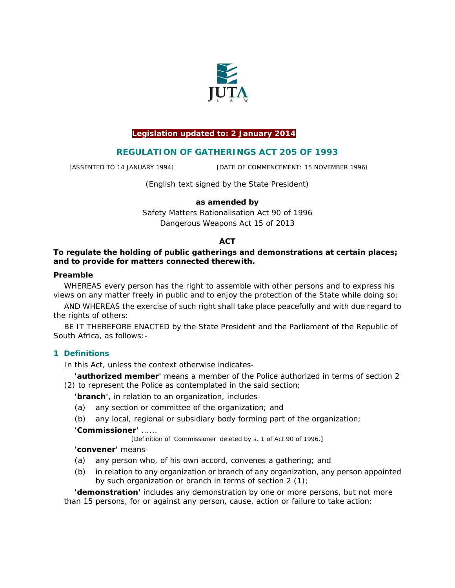

### **Legislation updated to: 2 January 2014**

# **REGULATION OF GATHERINGS ACT 205 OF 1993**

[ASSENTED TO 14 JANUARY 1994] [DATE OF COMMENCEMENT: 15 NOVEMBER 1996]

*(English text signed by the State President)* 

### **as amended by**

Safety Matters Rationalisation Act 90 of 1996 Dangerous Weapons Act 15 of 2013

### **ACT**

# **To regulate the holding of public gatherings and demonstrations at certain places; and to provide for matters connected therewith.**

### **Preamble**

WHEREAS every person has the right to assemble with other persons and to express his views on any matter freely in public and to enjoy the protection of the State while doing so;

AND WHEREAS the exercise of such right shall take place peacefully and with due regard to the rights of others:

BE IT THEREFORE ENACTED by the State President and the Parliament of the Republic of South Africa, as follows:-

# **1 Definitions**

In this Act, unless the context otherwise indicates-

**'authorized member'** means a member of the Police authorized in terms of section 2 (2) to represent the Police as contemplated in the said section;

**'branch'**, in relation to an organization, includes-

- *(a)* any section or committee of the organization; and
- *(b)* any local, regional or subsidiary body forming part of the organization;

#### **'Commissioner'** ......

[Definition of 'Commissioner' deleted by s. 1 of Act 90 of 1996.]

**'convener'** means-

- *(a)* any person who, of his own accord, convenes a gathering; and
- *(b)* in relation to any organization or branch of any organization, any person appointed by such organization or branch in terms of section 2 (1);

**'demonstration'** includes any demonstration by one or more persons, but not more than 15 persons, for or against any person, cause, action or failure to take action;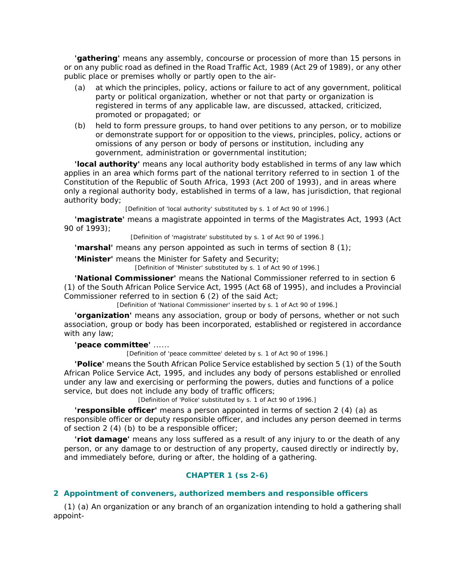**'gathering'** means any assembly, concourse or procession of more than 15 persons in or on any public road as defined in the Road Traffic Act, 1989 (Act 29 of 1989), or any other public place or premises wholly or partly open to the air-

- *(a)* at which the principles, policy, actions or failure to act of any government, political party or political organization, whether or not that party or organization is registered in terms of any applicable law, are discussed, attacked, criticized, promoted or propagated; or
- *(b)* held to form pressure groups, to hand over petitions to any person, or to mobilize or demonstrate support for or opposition to the views, principles, policy, actions or omissions of any person or body of persons or institution, including any government, administration or governmental institution;

**'local authority'** means any local authority body established in terms of any law which applies in an area which forms part of the national territory referred to in section 1 of the Constitution of the Republic of South Africa, 1993 (Act 200 of 1993), and in areas where only a regional authority body, established in terms of a law, has jurisdiction, that regional authority body;

[Definition of 'local authority' substituted by s. 1 of Act 90 of 1996.]

**'magistrate'** means a magistrate appointed in terms of the Magistrates Act, 1993 (Act 90 of 1993);

[Definition of 'magistrate' substituted by s. 1 of Act 90 of 1996.]

**'marshal'** means any person appointed as such in terms of section 8 (1);

**'Minister'** means the Minister for Safety and Security;

[Definition of 'Minister' substituted by s. 1 of Act 90 of 1996.]

**'National Commissioner'** means the National Commissioner referred to in section 6 (1) of the South African Police Service Act, 1995 (Act 68 of 1995), and includes a Provincial Commissioner referred to in section 6 (2) of the said Act;

[Definition of 'National Commissioner' inserted by s. 1 of Act 90 of 1996.]

**'organization'** means any association, group or body of persons, whether or not such association, group or body has been incorporated, established or registered in accordance with any law;

#### **'peace committee'** ......

[Definition of 'peace committee' deleted by s. 1 of Act 90 of 1996.]

**'Police'** means the South African Police Service established by section 5 (1) of the South African Police Service Act, 1995, and includes any body of persons established or enrolled under any law and exercising or performing the powers, duties and functions of a police service, but does not include any body of traffic officers;

[Definition of 'Police' substituted by s. 1 of Act 90 of 1996.]

**'responsible officer'** means a person appointed in terms of section 2 (4) *(a)* as responsible officer or deputy responsible officer, and includes any person deemed in terms of section 2 (4) *(b)* to be a responsible officer;

**'riot damage'** means any loss suffered as a result of any injury to or the death of any person, or any damage to or destruction of any property, caused directly or indirectly by, and immediately before, during or after, the holding of a gathering.

# **CHAPTER 1 (ss 2-6)**

#### **2 Appointment of conveners, authorized members and responsible officers**

(1) *(a)* An organization or any branch of an organization intending to hold a gathering shall appoint-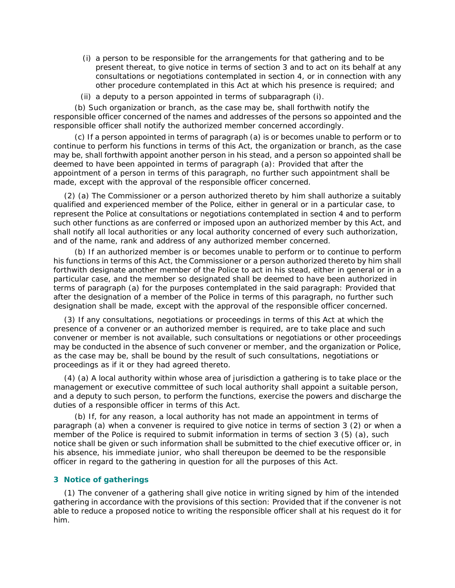- (i) a person to be responsible for the arrangements for that gathering and to be present thereat, to give notice in terms of section 3 and to act on its behalf at any consultations or negotiations contemplated in section 4, or in connection with any other procedure contemplated in this Act at which his presence is required; and
- (ii) a deputy to a person appointed in terms of subparagraph (i).

*(b)* Such organization or branch, as the case may be, shall forthwith notify the responsible officer concerned of the names and addresses of the persons so appointed and the responsible officer shall notify the authorized member concerned accordingly.

*(c)* If a person appointed in terms of paragraph *(a)* is or becomes unable to perform or to continue to perform his functions in terms of this Act, the organization or branch, as the case may be, shall forthwith appoint another person in his stead, and a person so appointed shall be deemed to have been appointed in terms of paragraph *(a)*: Provided that after the appointment of a person in terms of this paragraph, no further such appointment shall be made, except with the approval of the responsible officer concerned.

(2) *(a)* The Commissioner or a person authorized thereto by him shall authorize a suitably qualified and experienced member of the Police, either in general or in a particular case, to represent the Police at consultations or negotiations contemplated in section 4 and to perform such other functions as are conferred or imposed upon an authorized member by this Act, and shall notify all local authorities or any local authority concerned of every such authorization, and of the name, rank and address of any authorized member concerned.

*(b)* If an authorized member is or becomes unable to perform or to continue to perform his functions in terms of this Act, the Commissioner or a person authorized thereto by him shall forthwith designate another member of the Police to act in his stead, either in general or in a particular case, and the member so designated shall be deemed to have been authorized in terms of paragraph *(a)* for the purposes contemplated in the said paragraph: Provided that after the designation of a member of the Police in terms of this paragraph, no further such designation shall be made, except with the approval of the responsible officer concerned.

(3) If any consultations, negotiations or proceedings in terms of this Act at which the presence of a convener or an authorized member is required, are to take place and such convener or member is not available, such consultations or negotiations or other proceedings may be conducted in the absence of such convener or member, and the organization or Police, as the case may be, shall be bound by the result of such consultations, negotiations or proceedings as if it or they had agreed thereto.

(4) *(a)* A local authority within whose area of jurisdiction a gathering is to take place or the management or executive committee of such local authority shall appoint a suitable person, and a deputy to such person, to perform the functions, exercise the powers and discharge the duties of a responsible officer in terms of this Act.

*(b)* If, for any reason, a local authority has not made an appointment in terms of paragraph *(a)* when a convener is required to give notice in terms of section 3 (2) or when a member of the Police is required to submit information in terms of section 3 (5) *(a)*, such notice shall be given or such information shall be submitted to the chief executive officer or, in his absence, his immediate junior, who shall thereupon be deemed to be the responsible officer in regard to the gathering in question for all the purposes of this Act.

#### **3 Notice of gatherings**

(1) The convener of a gathering shall give notice in writing signed by him of the intended gathering in accordance with the provisions of this section: Provided that if the convener is not able to reduce a proposed notice to writing the responsible officer shall at his request do it for him.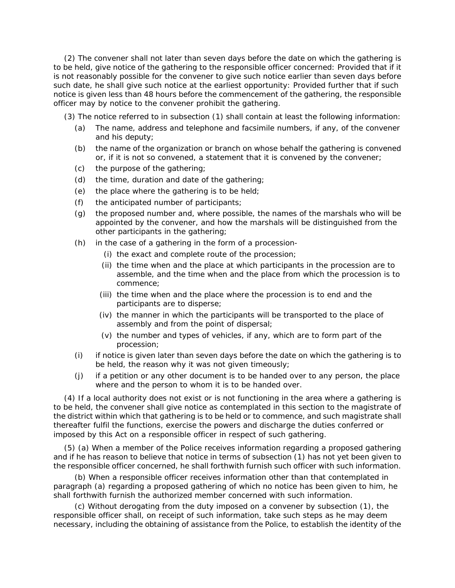(2) The convener shall not later than seven days before the date on which the gathering is to be held, give notice of the gathering to the responsible officer concerned: Provided that if it is not reasonably possible for the convener to give such notice earlier than seven days before such date, he shall give such notice at the earliest opportunity: Provided further that if such notice is given less than 48 hours before the commencement of the gathering, the responsible officer may by notice to the convener prohibit the gathering.

- (3) The notice referred to in subsection (1) shall contain at least the following information:
	- *(a)* The name, address and telephone and facsimile numbers, if any, of the convener and his deputy;
	- *(b)* the name of the organization or branch on whose behalf the gathering is convened or, if it is not so convened, a statement that it is convened by the convener;
	- *(c)* the purpose of the gathering;
	- *(d)* the time, duration and date of the gathering;
	- *(e)* the place where the gathering is to be held;
	- *(f)* the anticipated number of participants;
	- *(g)* the proposed number and, where possible, the names of the marshals who will be appointed by the convener, and how the marshals will be distinguished from the other participants in the gathering;
	- *(h)* in the case of a gathering in the form of a procession-
		- (i) the exact and complete route of the procession;
		- (ii) the time when and the place at which participants in the procession are to assemble, and the time when and the place from which the procession is to commence;
		- (iii) the time when and the place where the procession is to end and the participants are to disperse;
		- (iv) the manner in which the participants will be transported to the place of assembly and from the point of dispersal;
		- (v) the number and types of vehicles, if any, which are to form part of the procession;
	- *(i)* if notice is given later than seven days before the date on which the gathering is to be held, the reason why it was not given timeously;
	- *(j)* if a petition or any other document is to be handed over to any person, the place where and the person to whom it is to be handed over.

(4) If a local authority does not exist or is not functioning in the area where a gathering is to be held, the convener shall give notice as contemplated in this section to the magistrate of the district within which that gathering is to be held or to commence, and such magistrate shall thereafter fulfil the functions, exercise the powers and discharge the duties conferred or imposed by this Act on a responsible officer in respect of such gathering.

(5) *(a)* When a member of the Police receives information regarding a proposed gathering and if he has reason to believe that notice in terms of subsection (1) has not yet been given to the responsible officer concerned, he shall forthwith furnish such officer with such information.

*(b)* When a responsible officer receives information other than that contemplated in paragraph *(a)* regarding a proposed gathering of which no notice has been given to him, he shall forthwith furnish the authorized member concerned with such information.

*(c)* Without derogating from the duty imposed on a convener by subsection (1), the responsible officer shall, on receipt of such information, take such steps as he may deem necessary, including the obtaining of assistance from the Police, to establish the identity of the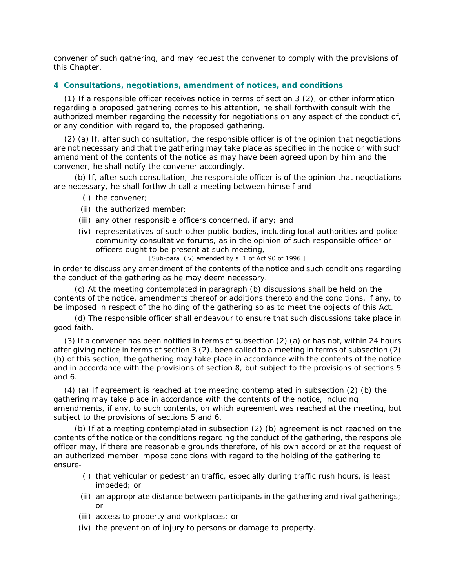convener of such gathering, and may request the convener to comply with the provisions of this Chapter.

#### **4 Consultations, negotiations, amendment of notices, and conditions**

(1) If a responsible officer receives notice in terms of section 3 (2), or other information regarding a proposed gathering comes to his attention, he shall forthwith consult with the authorized member regarding the necessity for negotiations on any aspect of the conduct of, or any condition with regard to, the proposed gathering.

(2) *(a)* If, after such consultation, the responsible officer is of the opinion that negotiations are not necessary and that the gathering may take place as specified in the notice or with such amendment of the contents of the notice as may have been agreed upon by him and the convener, he shall notify the convener accordingly.

*(b)* If, after such consultation, the responsible officer is of the opinion that negotiations are necessary, he shall forthwith call a meeting between himself and-

- (i) the convener;
- (ii) the authorized member;
- (iii) any other responsible officers concerned, if any; and
- (iv) representatives of such other public bodies, including local authorities and police community consultative forums, as in the opinion of such responsible officer or officers ought to be present at such meeting,

[Sub-para. (iv) amended by s. 1 of Act 90 of 1996.]

in order to discuss any amendment of the contents of the notice and such conditions regarding the conduct of the gathering as he may deem necessary.

*(c)* At the meeting contemplated in paragraph *(b)* discussions shall be held on the contents of the notice, amendments thereof or additions thereto and the conditions, if any, to be imposed in respect of the holding of the gathering so as to meet the objects of this Act.

*(d)* The responsible officer shall endeavour to ensure that such discussions take place in good faith.

(3) If a convener has been notified in terms of subsection (2) *(a)* or has not, within 24 hours after giving notice in terms of section 3 (2), been called to a meeting in terms of subsection (2) *(b)* of this section, the gathering may take place in accordance with the contents of the notice and in accordance with the provisions of section 8, but subject to the provisions of sections 5 and 6.

(4) *(a)* If agreement is reached at the meeting contemplated in subsection (2) *(b)* the gathering may take place in accordance with the contents of the notice, including amendments, if any, to such contents, on which agreement was reached at the meeting, but subject to the provisions of sections 5 and 6.

*(b)* If at a meeting contemplated in subsection (2) *(b)* agreement is not reached on the contents of the notice or the conditions regarding the conduct of the gathering, the responsible officer may, if there are reasonable grounds therefore, of his own accord or at the request of an authorized member impose conditions with regard to the holding of the gathering to ensure-

- (i) that vehicular or pedestrian traffic, especially during traffic rush hours, is least impeded; or
- (ii) an appropriate distance between participants in the gathering and rival gatherings; or
- (iii) access to property and workplaces; or
- (iv) the prevention of injury to persons or damage to property.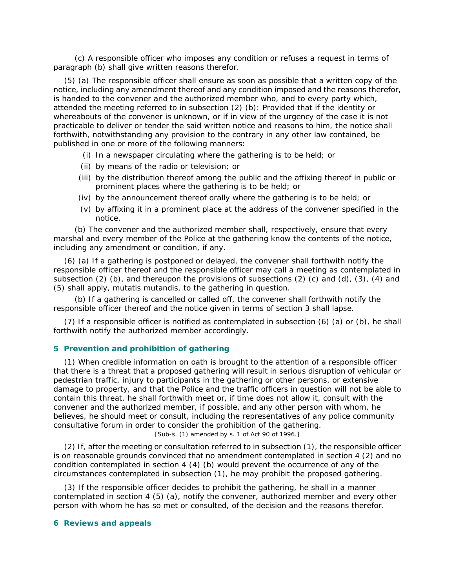*(c)* A responsible officer who imposes any condition or refuses a request in terms of paragraph *(b)* shall give written reasons therefor.

(5) *(a)* The responsible officer shall ensure as soon as possible that a written copy of the notice, including any amendment thereof and any condition imposed and the reasons therefor, is handed to the convener and the authorized member who, and to every party which, attended the meeting referred to in subsection (2) *(b)*: Provided that if the identity or whereabouts of the convener is unknown, or if in view of the urgency of the case it is not practicable to deliver or tender the said written notice and reasons to him, the notice shall forthwith, notwithstanding any provision to the contrary in any other law contained, be published in one or more of the following manners:

- (i) In a newspaper circulating where the gathering is to be held; or
- (ii) by means of the radio or television; or
- (iii) by the distribution thereof among the public and the affixing thereof in public or prominent places where the gathering is to be held; or
- (iv) by the announcement thereof orally where the gathering is to be held; or
- (v) by affixing it in a prominent place at the address of the convener specified in the notice.

*(b)* The convener and the authorized member shall, respectively, ensure that every marshal and every member of the Police at the gathering know the contents of the notice, including any amendment or condition, if any.

(6) *(a)* If a gathering is postponed or delayed, the convener shall forthwith notify the responsible officer thereof and the responsible officer may call a meeting as contemplated in subsection (2) *(b)*, and thereupon the provisions of subsections (2) *(c)* and *(d)*, (3), (4) and (5) shall apply, *mutatis mutandis*, to the gathering in question.

*(b)* If a gathering is cancelled or called off, the convener shall forthwith notify the responsible officer thereof and the notice given in terms of section 3 shall lapse.

(7) If a responsible officer is notified as contemplated in subsection (6) *(a)* or *(b)*, he shall forthwith notify the authorized member accordingly.

#### **5 Prevention and prohibition of gathering**

(1) When credible information on oath is brought to the attention of a responsible officer that there is a threat that a proposed gathering will result in serious disruption of vehicular or pedestrian traffic, injury to participants in the gathering or other persons, or extensive damage to property, and that the Police and the traffic officers in question will not be able to contain this threat, he shall forthwith meet or, if time does not allow it, consult with the convener and the authorized member, if possible, and any other person with whom, he believes, he should meet or consult, including the representatives of any police community consultative forum in order to consider the prohibition of the gathering.

[Sub-s. (1) amended by s. 1 of Act 90 of 1996.]

(2) If, after the meeting or consultation referred to in subsection (1), the responsible officer is on reasonable grounds convinced that no amendment contemplated in section 4 (2) and no condition contemplated in section 4 (4) *(b)* would prevent the occurrence of any of the circumstances contemplated in subsection (1), he may prohibit the proposed gathering.

(3) If the responsible officer decides to prohibit the gathering, he shall in a manner contemplated in section 4 (5) *(a)*, notify the convener, authorized member and every other person with whom he has so met or consulted, of the decision and the reasons therefor.

#### **6 Reviews and appeals**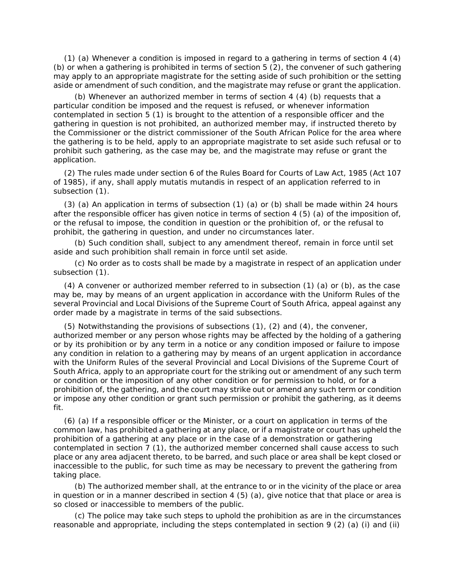(1) *(a)* Whenever a condition is imposed in regard to a gathering in terms of section 4 (4) *(b)* or when a gathering is prohibited in terms of section 5 (2), the convener of such gathering may apply to an appropriate magistrate for the setting aside of such prohibition or the setting aside or amendment of such condition, and the magistrate may refuse or grant the application.

*(b)* Whenever an authorized member in terms of section 4 (4) *(b)* requests that a particular condition be imposed and the request is refused, or whenever information contemplated in section 5 (1) is brought to the attention of a responsible officer and the gathering in question is not prohibited, an authorized member may, if instructed thereto by the Commissioner or the district commissioner of the South African Police for the area where the gathering is to be held, apply to an appropriate magistrate to set aside such refusal or to prohibit such gathering, as the case may be, and the magistrate may refuse or grant the application.

(2) The rules made under section 6 of the Rules Board for Courts of Law Act, 1985 (Act 107 of 1985), if any, shall apply *mutatis mutandis* in respect of an application referred to in subsection (1).

(3) *(a)* An application in terms of subsection (1) *(a)* or *(b)* shall be made within 24 hours after the responsible officer has given notice in terms of section 4 (5) *(a)* of the imposition of, or the refusal to impose, the condition in question or the prohibition of, or the refusal to prohibit, the gathering in question, and under no circumstances later.

*(b)* Such condition shall, subject to any amendment thereof, remain in force until set aside and such prohibition shall remain in force until set aside.

*(c)* No order as to costs shall be made by a magistrate in respect of an application under subsection (1).

(4) A convener or authorized member referred to in subsection (1) *(a)* or *(b)*, as the case may be, may by means of an urgent application in accordance with the Uniform Rules of the several Provincial and Local Divisions of the Supreme Court of South Africa, appeal against any order made by a magistrate in terms of the said subsections.

(5) Notwithstanding the provisions of subsections (1), (2) and (4), the convener, authorized member or any person whose rights may be affected by the holding of a gathering or by its prohibition or by any term in a notice or any condition imposed or failure to impose any condition in relation to a gathering may by means of an urgent application in accordance with the Uniform Rules of the several Provincial and Local Divisions of the Supreme Court of South Africa, apply to an appropriate court for the striking out or amendment of any such term or condition or the imposition of any other condition or for permission to hold, or for a prohibition of, the gathering, and the court may strike out or amend any such term or condition or impose any other condition or grant such permission or prohibit the gathering, as it deems fit.

(6) *(a)* If a responsible officer or the Minister, or a court on application in terms of the common law, has prohibited a gathering at any place, or if a magistrate or court has upheld the prohibition of a gathering at any place or in the case of a demonstration or gathering contemplated in section 7 (1), the authorized member concerned shall cause access to such place or any area adjacent thereto, to be barred, and such place or area shall be kept closed or inaccessible to the public, for such time as may be necessary to prevent the gathering from taking place.

*(b)* The authorized member shall, at the entrance to or in the vicinity of the place or area in question or in a manner described in section 4 (5) *(a)*, give notice that that place or area is so closed or inaccessible to members of the public.

*(c)* The police may take such steps to uphold the prohibition as are in the circumstances reasonable and appropriate, including the steps contemplated in section 9 (2) *(a)* (i) and (ii)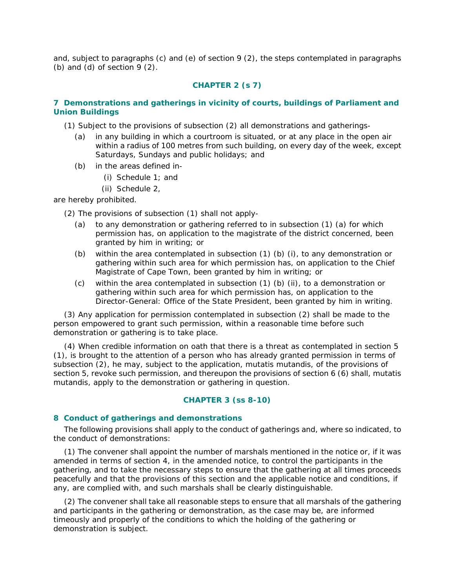and, subject to paragraphs *(c)* and *(e)* of section 9 (2), the steps contemplated in paragraphs *(b)* and *(d)* of section 9 (2).

### **CHAPTER 2 (s 7)**

### **7 Demonstrations and gatherings in vicinity of courts, buildings of Parliament and Union Buildings**

(1) Subject to the provisions of subsection (2) all demonstrations and gatherings-

- *(a)* in any building in which a courtroom is situated, or at any place in the open air within a radius of 100 metres from such building, on every day of the week, except Saturdays, Sundays and public holidays; and
- *(b)* in the areas defined in-
	- (i) Schedule 1; and
	- (ii) Schedule 2,

are hereby prohibited.

(2) The provisions of subsection (1) shall not apply-

- *(a)* to any demonstration or gathering referred to in subsection (1) *(a)* for which permission has, on application to the magistrate of the district concerned, been granted by him in writing; or
- *(b)* within the area contemplated in subsection (1) *(b)* (i), to any demonstration or gathering within such area for which permission has, on application to the Chief Magistrate of Cape Town, been granted by him in writing; or
- *(c)* within the area contemplated in subsection (1) *(b)* (ii), to a demonstration or gathering within such area for which permission has, on application to the Director-General: Office of the State President, been granted by him in writing.

(3) Any application for permission contemplated in subsection (2) shall be made to the person empowered to grant such permission, within a reasonable time before such demonstration or gathering is to take place.

(4) When credible information on oath that there is a threat as contemplated in section 5 (1), is brought to the attention of a person who has already granted permission in terms of subsection (2), he may, subject to the application, *mutatis mutandis*, of the provisions of section 5, revoke such permission, and thereupon the provisions of section 6 (6) shall, *mutatis mutandis*, apply to the demonstration or gathering in question.

# **CHAPTER 3 (ss 8-10)**

#### **8 Conduct of gatherings and demonstrations**

The following provisions shall apply to the conduct of gatherings and, where so indicated, to the conduct of demonstrations:

(1) The convener shall appoint the number of marshals mentioned in the notice or, if it was amended in terms of section 4, in the amended notice, to control the participants in the gathering, and to take the necessary steps to ensure that the gathering at all times proceeds peacefully and that the provisions of this section and the applicable notice and conditions, if any, are complied with, and such marshals shall be clearly distinguishable.

(2) The convener shall take all reasonable steps to ensure that all marshals of the gathering and participants in the gathering or demonstration, as the case may be, are informed timeously and properly of the conditions to which the holding of the gathering or demonstration is subject.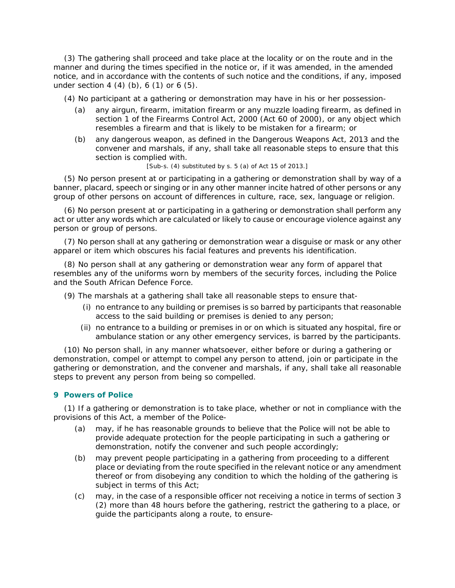(3) The gathering shall proceed and take place at the locality or on the route and in the manner and during the times specified in the notice or, if it was amended, in the amended notice, and in accordance with the contents of such notice and the conditions, if any, imposed under section 4 (4) *(b)*, 6 (1) or 6 (5).

(4) No participant at a gathering or demonstration may have in his or her possession-

- *(a)* any airgun, firearm, imitation firearm or any muzzle loading firearm, as defined in section 1 of the Firearms Control Act, 2000 (Act 60 of 2000), or any object which resembles a firearm and that is likely to be mistaken for a firearm; or
- *(b)* any dangerous weapon, as defined in the Dangerous Weapons Act, 2013 and the convener and marshals, if any, shall take all reasonable steps to ensure that this section is complied with.

[Sub-s. (4) substituted by s. 5 *(a)* of Act 15 of 2013.]

(5) No person present at or participating in a gathering or demonstration shall by way of a banner, placard, speech or singing or in any other manner incite hatred of other persons or any group of other persons on account of differences in culture, race, sex, language or religion.

(6) No person present at or participating in a gathering or demonstration shall perform any act or utter any words which are calculated or likely to cause or encourage violence against any person or group of persons.

(7) No person shall at any gathering or demonstration wear a disguise or mask or any other apparel or item which obscures his facial features and prevents his identification.

(8) No person shall at any gathering or demonstration wear any form of apparel that resembles any of the uniforms worn by members of the security forces, including the Police and the South African Defence Force.

(9) The marshals at a gathering shall take all reasonable steps to ensure that-

- (i) no entrance to any building or premises is so barred by participants that reasonable access to the said building or premises is denied to any person;
- (ii) no entrance to a building or premises in or on which is situated any hospital, fire or ambulance station or any other emergency services, is barred by the participants.

(10) No person shall, in any manner whatsoever, either before or during a gathering or demonstration, compel or attempt to compel any person to attend, join or participate in the gathering or demonstration, and the convener and marshals, if any, shall take all reasonable steps to prevent any person from being so compelled.

# **9 Powers of Police**

(1) If a gathering or demonstration is to take place, whether or not in compliance with the provisions of this Act, a member of the Police-

- *(a)* may, if he has reasonable grounds to believe that the Police will not be able to provide adequate protection for the people participating in such a gathering or demonstration, notify the convener and such people accordingly;
- *(b)* may prevent people participating in a gathering from proceeding to a different place or deviating from the route specified in the relevant notice or any amendment thereof or from disobeying any condition to which the holding of the gathering is subject in terms of this Act;
- *(c)* may, in the case of a responsible officer not receiving a notice in terms of section 3 (2) more than 48 hours before the gathering, restrict the gathering to a place, or guide the participants along a route, to ensure-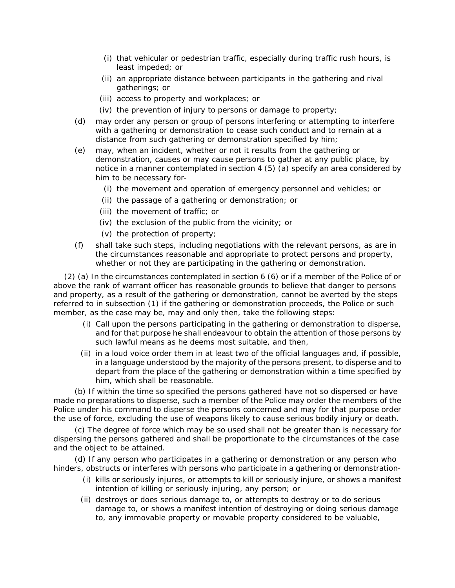- (i) that vehicular or pedestrian traffic, especially during traffic rush hours, is least impeded; or
- (ii) an appropriate distance between participants in the gathering and rival gatherings; or
- (iii) access to property and workplaces; or
- (iv) the prevention of injury to persons or damage to property;
- *(d)* may order any person or group of persons interfering or attempting to interfere with a gathering or demonstration to cease such conduct and to remain at a distance from such gathering or demonstration specified by him;
- *(e)* may, when an incident, whether or not it results from the gathering or demonstration, causes or may cause persons to gather at any public place, by notice in a manner contemplated in section 4 (5) *(a)* specify an area considered by him to be necessary for-
	- (i) the movement and operation of emergency personnel and vehicles; or
	- (ii) the passage of a gathering or demonstration; or
	- (iii) the movement of traffic; or
	- (iv) the exclusion of the public from the vicinity; or
	- (v) the protection of property;
- *(f)* shall take such steps, including negotiations with the relevant persons, as are in the circumstances reasonable and appropriate to protect persons and property, whether or not they are participating in the gathering or demonstration.

(2) *(a)* In the circumstances contemplated in section 6 (6) or if a member of the Police of or above the rank of warrant officer has reasonable grounds to believe that danger to persons and property, as a result of the gathering or demonstration, cannot be averted by the steps referred to in subsection (1) if the gathering or demonstration proceeds, the Police or such member, as the case may be, may and only then, take the following steps:

- (i) Call upon the persons participating in the gathering or demonstration to disperse, and for that purpose he shall endeavour to obtain the attention of those persons by such lawful means as he deems most suitable, and then,
- (ii) in a loud voice order them in at least two of the official languages and, if possible, in a language understood by the majority of the persons present, to disperse and to depart from the place of the gathering or demonstration within a time specified by him, which shall be reasonable.

*(b)* If within the time so specified the persons gathered have not so dispersed or have made no preparations to disperse, such a member of the Police may order the members of the Police under his command to disperse the persons concerned and may for that purpose order the use of force, excluding the use of weapons likely to cause serious bodily injury or death.

*(c)* The degree of force which may be so used shall not be greater than is necessary for dispersing the persons gathered and shall be proportionate to the circumstances of the case and the object to be attained.

*(d)* If any person who participates in a gathering or demonstration or any person who hinders, obstructs or interferes with persons who participate in a gathering or demonstration-

- (i) kills or seriously injures, or attempts to kill or seriously injure, or shows a manifest intention of killing or seriously injuring, any person; or
- (ii) destroys or does serious damage to, or attempts to destroy or to do serious damage to, or shows a manifest intention of destroying or doing serious damage to, any immovable property or movable property considered to be valuable,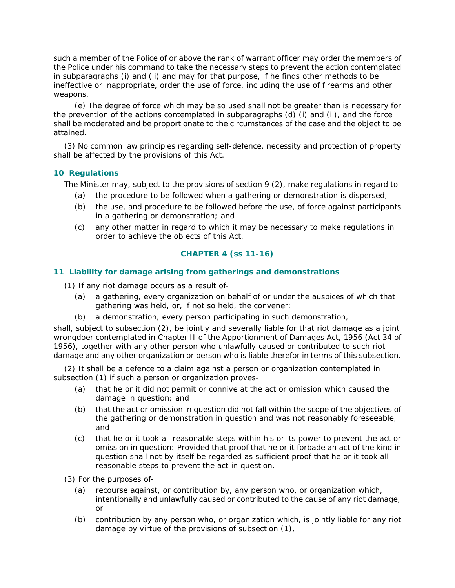such a member of the Police of or above the rank of warrant officer may order the members of the Police under his command to take the necessary steps to prevent the action contemplated in subparagraphs (i) and (ii) and may for that purpose, if he finds other methods to be ineffective or inappropriate, order the use of force, including the use of firearms and other weapons.

*(e)* The degree of force which may be so used shall not be greater than is necessary for the prevention of the actions contemplated in subparagraphs *(d)* (i) and (ii), and the force shall be moderated and be proportionate to the circumstances of the case and the object to be attained.

(3) No common law principles regarding self-defence, necessity and protection of property shall be affected by the provisions of this Act.

# **10 Regulations**

The Minister may, subject to the provisions of section 9 (2), make regulations in regard to-

- *(a)* the procedure to be followed when a gathering or demonstration is dispersed;
- *(b)* the use, and procedure to be followed before the use, of force against participants in a gathering or demonstration; and
- *(c)* any other matter in regard to which it may be necessary to make regulations in order to achieve the objects of this Act.

### **CHAPTER 4 (ss 11-16)**

# **11 Liability for damage arising from gatherings and demonstrations**

- (1) If any riot damage occurs as a result of-
	- *(a)* a gathering, every organization on behalf of or under the auspices of which that gathering was held, or, if not so held, the convener;
	- *(b)* a demonstration, every person participating in such demonstration,

shall, subject to subsection (2), be jointly and severally liable for that riot damage as a joint wrongdoer contemplated in Chapter II of the Apportionment of Damages Act, 1956 (Act 34 of 1956), together with any other person who unlawfully caused or contributed to such riot damage and any other organization or person who is liable therefor in terms of this subsection.

(2) It shall be a defence to a claim against a person or organization contemplated in subsection (1) if such a person or organization proves-

- *(a)* that he or it did not permit or connive at the act or omission which caused the damage in question; and
- *(b)* that the act or omission in question did not fall within the scope of the objectives of the gathering or demonstration in question and was not reasonably foreseeable; and
- *(c)* that he or it took all reasonable steps within his or its power to prevent the act or omission in question: Provided that proof that he or it forbade an act of the kind in question shall not by itself be regarded as sufficient proof that he or it took all reasonable steps to prevent the act in question.

(3) For the purposes of-

- *(a)* recourse against, or contribution by, any person who, or organization which, intentionally and unlawfully caused or contributed to the cause of any riot damage; or
- *(b)* contribution by any person who, or organization which, is jointly liable for any riot damage by virtue of the provisions of subsection (1),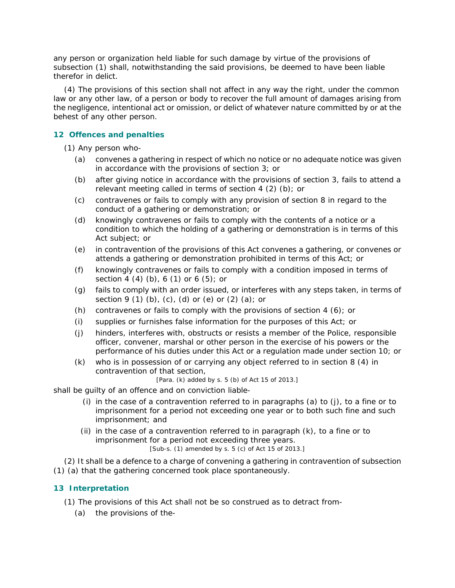any person or organization held liable for such damage by virtue of the provisions of subsection (1) shall, notwithstanding the said provisions, be deemed to have been liable therefor in delict.

(4) The provisions of this section shall not affect in any way the right, under the common law or any other law, of a person or body to recover the full amount of damages arising from the negligence, intentional act or omission, or delict of whatever nature committed by or at the behest of any other person.

# **12 Offences and penalties**

(1) Any person who-

- *(a)* convenes a gathering in respect of which no notice or no adequate notice was given in accordance with the provisions of section 3; or
- *(b)* after giving notice in accordance with the provisions of section 3, fails to attend a relevant meeting called in terms of section 4 (2) *(b)*; or
- *(c)* contravenes or fails to comply with any provision of section 8 in regard to the conduct of a gathering or demonstration; or
- *(d)* knowingly contravenes or fails to comply with the contents of a notice or a condition to which the holding of a gathering or demonstration is in terms of this Act subject; or
- *(e)* in contravention of the provisions of this Act convenes a gathering, or convenes or attends a gathering or demonstration prohibited in terms of this Act; or
- *(f)* knowingly contravenes or fails to comply with a condition imposed in terms of section 4 (4) *(b)*, 6 (1) or 6 (5); or
- *(g)* fails to comply with an order issued, or interferes with any steps taken, in terms of section 9 (1) *(b)*, *(c)*, *(d)* or *(e)* or (2) *(a)*; or
- *(h)* contravenes or fails to comply with the provisions of section 4 (6); or
- *(i)* supplies or furnishes false information for the purposes of this Act; or
- *(j)* hinders, interferes with, obstructs or resists a member of the Police, responsible officer, convener, marshal or other person in the exercise of his powers or the performance of his duties under this Act or a regulation made under section 10; or
- *(k)* who is in possession of or carrying any object referred to in section 8 (4) in contravention of that section,

[Para. *(k)* added by s. 5 *(b)* of Act 15 of 2013.]

shall be guilty of an offence and on conviction liable-

- (i) in the case of a contravention referred to in paragraphs *(a)* to *(j)*, to a fine or to imprisonment for a period not exceeding one year or to both such fine and such imprisonment; and
- (ii) in the case of a contravention referred to in paragraph *(k)*, to a fine or to imprisonment for a period not exceeding three years.

[Sub-s. (1) amended by s. 5 *(c)* of Act 15 of 2013.]

(2) It shall be a defence to a charge of convening a gathering in contravention of subsection (1) *(a)* that the gathering concerned took place spontaneously.

# **13 Interpretation**

(1) The provisions of this Act shall not be so construed as to detract from-

*(a)* the provisions of the-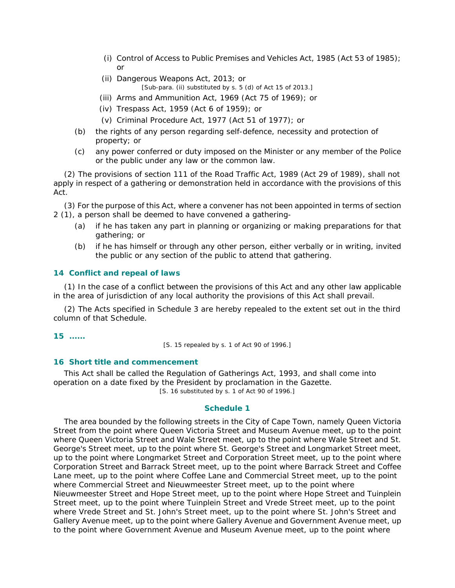- (i) Control of Access to Public Premises and Vehicles Act, 1985 (Act 53 of 1985); or
- (ii) Dangerous Weapons Act, 2013; or [Sub-para. (ii) substituted by s. 5 *(d)* of Act 15 of 2013.]
- (iii) Arms and Ammunition Act, 1969 (Act 75 of 1969); or
- (iv) Trespass Act, 1959 (Act 6 of 1959); or
- (v) Criminal Procedure Act, 1977 (Act 51 of 1977); or
- *(b)* the rights of any person regarding self-defence, necessity and protection of property; or
- *(c)* any power conferred or duty imposed on the Minister or any member of the Police or the public under any law or the common law.

(2) The provisions of section 111 of the Road Traffic Act, 1989 (Act 29 of 1989), shall not apply in respect of a gathering or demonstration held in accordance with the provisions of this Act.

(3) For the purpose of this Act, where a convener has not been appointed in terms of section 2 (1), a person shall be deemed to have convened a gathering-

- *(a)* if he has taken any part in planning or organizing or making preparations for that gathering; or
- *(b)* if he has himself or through any other person, either verbally or in writing, invited the public or any section of the public to attend that gathering.

# **14 Conflict and repeal of laws**

(1) In the case of a conflict between the provisions of this Act and any other law applicable in the area of jurisdiction of any local authority the provisions of this Act shall prevail.

(2) The Acts specified in Schedule 3 are hereby repealed to the extent set out in the third column of that Schedule.

#### **15 ......**

[S. 15 repealed by s. 1 of Act 90 of 1996.]

#### **16 Short title and commencement**

This Act shall be called the Regulation of Gatherings Act, 1993, and shall come into operation on a date fixed by the President by proclamation in the *Gazette*. [S. 16 substituted by s. 1 of Act 90 of 1996.]

# **Schedule 1**

The area bounded by the following streets in the City of Cape Town, namely Queen Victoria Street from the point where Queen Victoria Street and Museum Avenue meet, up to the point where Queen Victoria Street and Wale Street meet, up to the point where Wale Street and St. George's Street meet, up to the point where St. George's Street and Longmarket Street meet, up to the point where Longmarket Street and Corporation Street meet, up to the point where Corporation Street and Barrack Street meet, up to the point where Barrack Street and Coffee Lane meet, up to the point where Coffee Lane and Commercial Street meet, up to the point where Commercial Street and Nieuwmeester Street meet, up to the point where Nieuwmeester Street and Hope Street meet, up to the point where Hope Street and Tuinplein Street meet, up to the point where Tuinplein Street and Vrede Street meet, up to the point where Vrede Street and St. John's Street meet, up to the point where St. John's Street and Gallery Avenue meet, up to the point where Gallery Avenue and Government Avenue meet, up to the point where Government Avenue and Museum Avenue meet, up to the point where